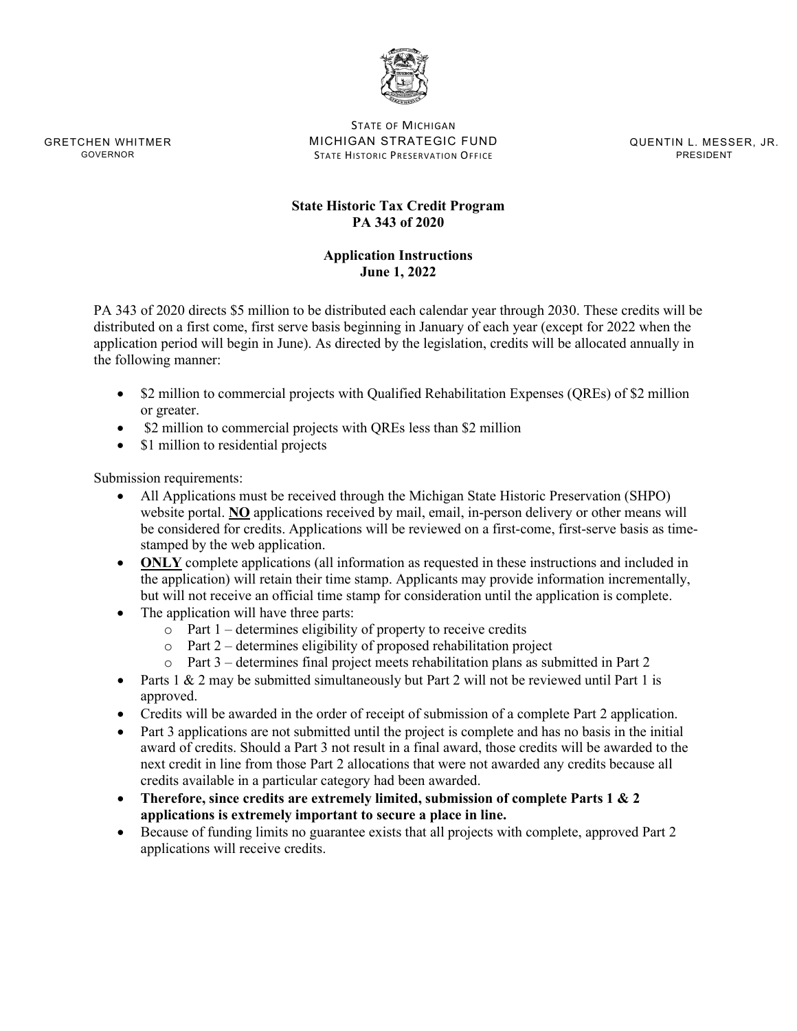

STATE OF MICHIGAN GRETCHEN WHITMER MICHIGAN STRATEGIC FUND QUENTIN L. MESSER, JR. GOVERNOR **STATE HISTORIC PRESERVATION OFFICE STATE ASSESS** 

# **State Historic Tax Credit Program PA 343 of 2020**

# **Application Instructions June 1, 2022**

PA 343 of 2020 directs \$5 million to be distributed each calendar year through 2030. These credits will be distributed on a first come, first serve basis beginning in January of each year (except for 2022 when the application period will begin in June). As directed by the legislation, credits will be allocated annually in the following manner:

- \$2 million to commercial projects with Qualified Rehabilitation Expenses (QREs) of \$2 million or greater.
- \$2 million to commercial projects with QREs less than \$2 million
- \$1 million to residential projects

Submission requirements:

- All Applications must be received through the Michigan State Historic Preservation (SHPO) website portal. **NO** applications received by mail, email, in-person delivery or other means will be considered for credits. Applications will be reviewed on a first-come, first-serve basis as timestamped by the web application.
- **ONLY** complete applications (all information as requested in these instructions and included in the application) will retain their time stamp. Applicants may provide information incrementally, but will not receive an official time stamp for consideration until the application is complete.
- The application will have three parts:
	- $\overrightarrow{O}$  Part 1 determines eligibility of property to receive credits
	- $\circ$  Part 2 determines eligibility of proposed rehabilitation project
	- o Part 3 determines final project meets rehabilitation plans as submitted in Part 2
- Parts  $1 \& 2$  may be submitted simultaneously but Part 2 will not be reviewed until Part 1 is approved.
- Credits will be awarded in the order of receipt of submission of a complete Part 2 application.
- Part 3 applications are not submitted until the project is complete and has no basis in the initial award of credits. Should a Part 3 not result in a final award, those credits will be awarded to the next credit in line from those Part 2 allocations that were not awarded any credits because all credits available in a particular category had been awarded.
- **Therefore, since credits are extremely limited, submission of complete Parts 1 & 2 applications is extremely important to secure a place in line.**
- Because of funding limits no guarantee exists that all projects with complete, approved Part 2 applications will receive credits.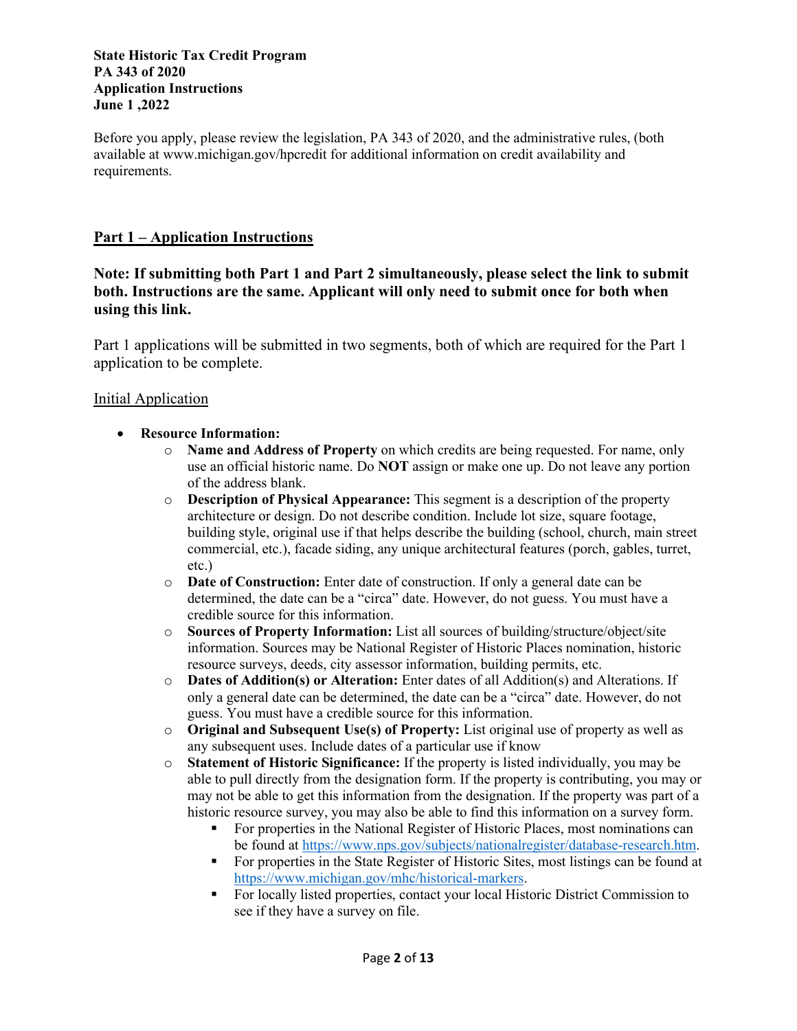#### **State Historic Tax Credit Program PA 343 of 2020 Application Instructions June 1 ,2022**

Before you apply, please review the legislation, PA 343 of 2020, and the administrative rules, (both available at www.michigan.gov/hpcredit for additional information on credit availability and requirements.

# **Part 1 – Application Instructions**

**Note: If submitting both Part 1 and Part 2 simultaneously, please select the link to submit both. Instructions are the same. Applicant will only need to submit once for both when using this link.**

Part 1 applications will be submitted in two segments, both of which are required for the Part 1 application to be complete.

### Initial Application

- **Resource Information:** 
	- o **Name and Address of Property** on which credits are being requested. For name, only use an official historic name. Do **NOT** assign or make one up. Do not leave any portion of the address blank.
	- o **Description of Physical Appearance:** This segment is a description of the property architecture or design. Do not describe condition. Include lot size, square footage, building style, original use if that helps describe the building (school, church, main street commercial, etc.), facade siding, any unique architectural features (porch, gables, turret, etc.)
	- o **Date of Construction:** Enter date of construction. If only a general date can be determined, the date can be a "circa" date. However, do not guess. You must have a credible source for this information.
	- o **Sources of Property Information:** List all sources of building/structure/object/site information. Sources may be National Register of Historic Places nomination, historic resource surveys, deeds, city assessor information, building permits, etc.
	- o **Dates of Addition(s) or Alteration:** Enter dates of all Addition(s) and Alterations. If only a general date can be determined, the date can be a "circa" date. However, do not guess. You must have a credible source for this information.
	- o **Original and Subsequent Use(s) of Property:** List original use of property as well as any subsequent uses. Include dates of a particular use if know
	- o **Statement of Historic Significance:** If the property is listed individually, you may be able to pull directly from the designation form. If the property is contributing, you may or may not be able to get this information from the designation. If the property was part of a historic resource survey, you may also be able to find this information on a survey form.
		- For properties in the National Register of Historic Places, most nominations can be found at [https://www.nps.gov/subjects/nationalregister/database-research.htm.](https://www.nps.gov/subjects/nationalregister/database-research.htm)
		- For properties in the State Register of Historic Sites, most listings can be found at [https://www.michigan.gov/mhc/historical-markers.](https://www.michigan.gov/mhc/historical-markers)
		- For locally listed properties, contact your local Historic District Commission to see if they have a survey on file.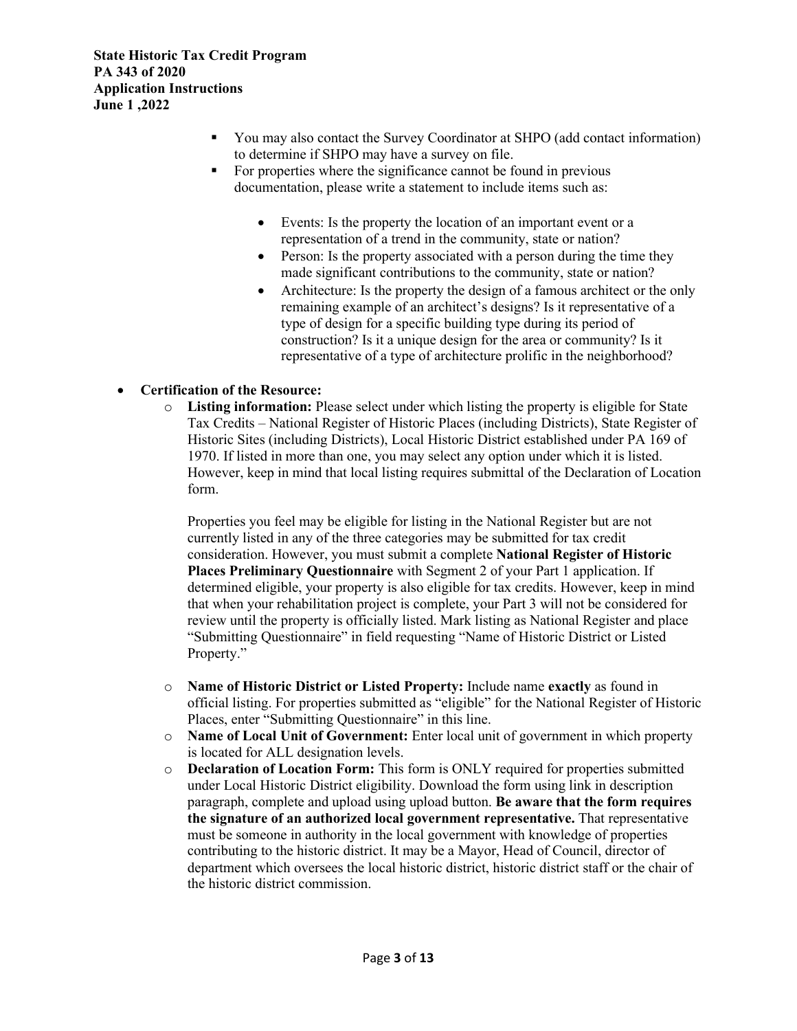- You may also contact the Survey Coordinator at SHPO (add contact information) to determine if SHPO may have a survey on file.
- For properties where the significance cannot be found in previous documentation, please write a statement to include items such as:
	- Events: Is the property the location of an important event or a representation of a trend in the community, state or nation?
	- Person: Is the property associated with a person during the time they made significant contributions to the community, state or nation?
	- Architecture: Is the property the design of a famous architect or the only remaining example of an architect's designs? Is it representative of a type of design for a specific building type during its period of construction? Is it a unique design for the area or community? Is it representative of a type of architecture prolific in the neighborhood?

## • **Certification of the Resource:**

o **Listing information:** Please select under which listing the property is eligible for State Tax Credits – National Register of Historic Places (including Districts), State Register of Historic Sites (including Districts), Local Historic District established under PA 169 of 1970. If listed in more than one, you may select any option under which it is listed. However, keep in mind that local listing requires submittal of the Declaration of Location form.

Properties you feel may be eligible for listing in the National Register but are not currently listed in any of the three categories may be submitted for tax credit consideration. However, you must submit a complete **National Register of Historic Places Preliminary Questionnaire** with Segment 2 of your Part 1 application. If determined eligible, your property is also eligible for tax credits. However, keep in mind that when your rehabilitation project is complete, your Part 3 will not be considered for review until the property is officially listed. Mark listing as National Register and place "Submitting Questionnaire" in field requesting "Name of Historic District or Listed Property."

- o **Name of Historic District or Listed Property:** Include name **exactly** as found in official listing. For properties submitted as "eligible" for the National Register of Historic Places, enter "Submitting Questionnaire" in this line.
- o **Name of Local Unit of Government:** Enter local unit of government in which property is located for ALL designation levels.
- o **Declaration of Location Form:** This form is ONLY required for properties submitted under Local Historic District eligibility. Download the form using link in description paragraph, complete and upload using upload button. **Be aware that the form requires the signature of an authorized local government representative.** That representative must be someone in authority in the local government with knowledge of properties contributing to the historic district. It may be a Mayor, Head of Council, director of department which oversees the local historic district, historic district staff or the chair of the historic district commission.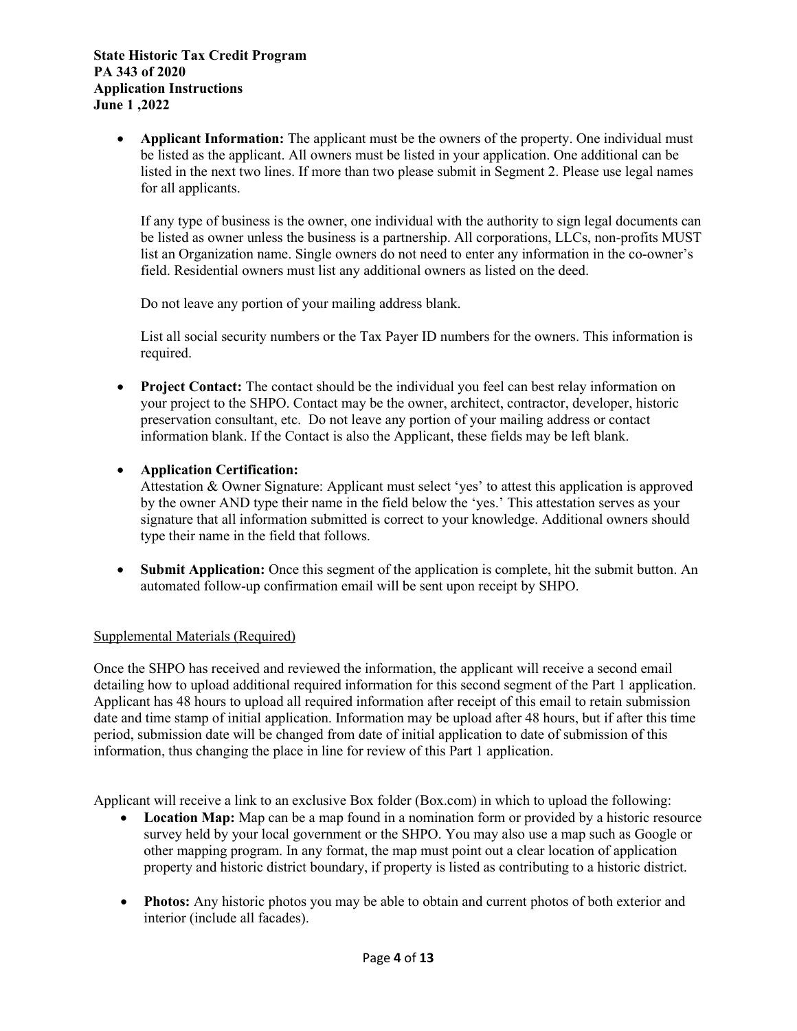• **Applicant Information:** The applicant must be the owners of the property. One individual must be listed as the applicant. All owners must be listed in your application. One additional can be listed in the next two lines. If more than two please submit in Segment 2. Please use legal names for all applicants.

If any type of business is the owner, one individual with the authority to sign legal documents can be listed as owner unless the business is a partnership. All corporations, LLCs, non-profits MUST list an Organization name. Single owners do not need to enter any information in the co-owner's field. Residential owners must list any additional owners as listed on the deed.

Do not leave any portion of your mailing address blank.

List all social security numbers or the Tax Payer ID numbers for the owners. This information is required.

- **Project Contact:** The contact should be the individual you feel can best relay information on your project to the SHPO. Contact may be the owner, architect, contractor, developer, historic preservation consultant, etc. Do not leave any portion of your mailing address or contact information blank. If the Contact is also the Applicant, these fields may be left blank.
- **Application Certification:**

Attestation & Owner Signature: Applicant must select 'yes' to attest this application is approved by the owner AND type their name in the field below the 'yes.' This attestation serves as your signature that all information submitted is correct to your knowledge. Additional owners should type their name in the field that follows.

• **Submit Application:** Once this segment of the application is complete, hit the submit button. An automated follow-up confirmation email will be sent upon receipt by SHPO.

## Supplemental Materials (Required)

Once the SHPO has received and reviewed the information, the applicant will receive a second email detailing how to upload additional required information for this second segment of the Part 1 application. Applicant has 48 hours to upload all required information after receipt of this email to retain submission date and time stamp of initial application. Information may be upload after 48 hours, but if after this time period, submission date will be changed from date of initial application to date of submission of this information, thus changing the place in line for review of this Part 1 application.

Applicant will receive a link to an exclusive Box folder (Box.com) in which to upload the following:

- Location Map: Map can be a map found in a nomination form or provided by a historic resource survey held by your local government or the SHPO. You may also use a map such as Google or other mapping program. In any format, the map must point out a clear location of application property and historic district boundary, if property is listed as contributing to a historic district.
- **Photos:** Any historic photos you may be able to obtain and current photos of both exterior and interior (include all facades).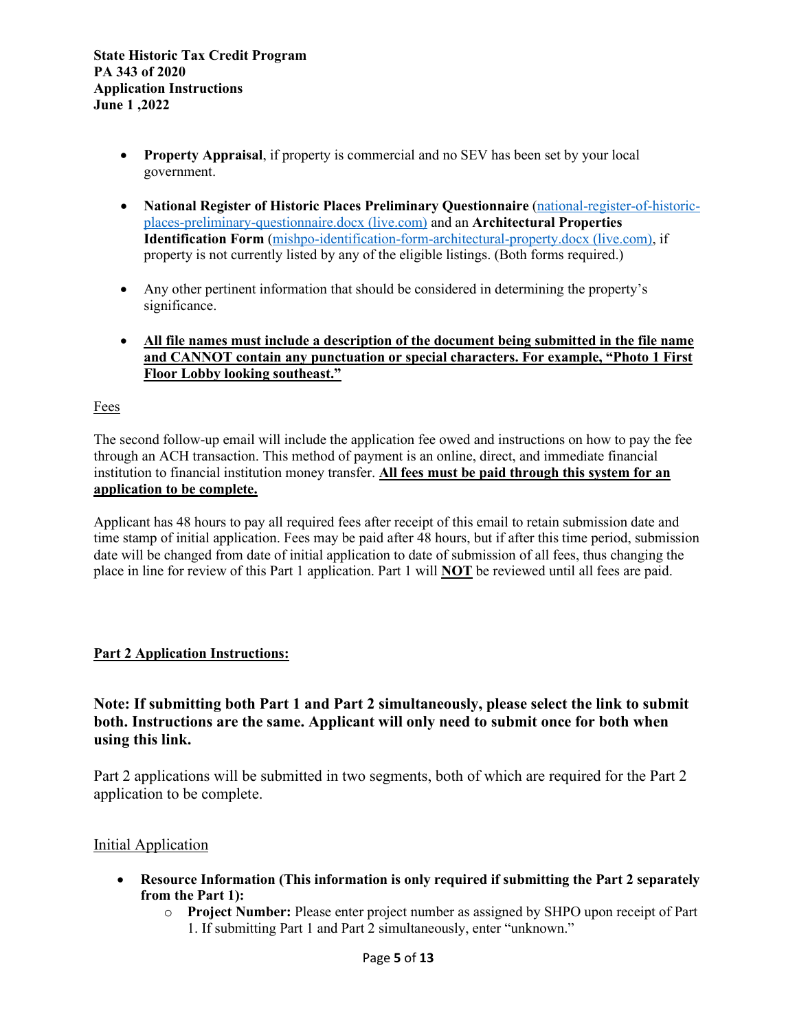- **Property Appraisal**, if property is commercial and no SEV has been set by your local government.
- **National Register of Historic Places Preliminary Questionnaire** [\(national-register-of-historic](https://view.officeapps.live.com/op/view.aspx?src=https%3A%2F%2Fwww.miplace.org%2F4b01f2%2Fglobalassets%2Fdocuments%2Fshpo%2Fprograms-and-services%2Fnational-register-of-historic-places%2Fnational-register-forms%2Fnational-register-of-historic-places-preliminary-questionnaire.docx&wdOrigin=BROWSELINK)[places-preliminary-questionnaire.docx \(live.com\)](https://view.officeapps.live.com/op/view.aspx?src=https%3A%2F%2Fwww.miplace.org%2F4b01f2%2Fglobalassets%2Fdocuments%2Fshpo%2Fprograms-and-services%2Fnational-register-of-historic-places%2Fnational-register-forms%2Fnational-register-of-historic-places-preliminary-questionnaire.docx&wdOrigin=BROWSELINK) and an **Architectural Properties Identification Form** [\(mishpo-identification-form-architectural-property.docx \(live.com\),](https://view.officeapps.live.com/op/view.aspx?src=https%3A%2F%2Fwww.miplace.org%2F4aab9b%2Fglobalassets%2Fdocuments%2Fshpo%2Fresearch-resources%2Fforms-library%2Fmishpo-identification-form-architectural-property.docx&wdOrigin=BROWSELINK) if property is not currently listed by any of the eligible listings. (Both forms required.)
- Any other pertinent information that should be considered in determining the property's significance.
- **All file names must include a description of the document being submitted in the file name and CANNOT contain any punctuation or special characters. For example, "Photo 1 First Floor Lobby looking southeast."**

### Fees

The second follow-up email will include the application fee owed and instructions on how to pay the fee through an ACH transaction. This method of payment is an online, direct, and immediate financial institution to financial institution money transfer. **All fees must be paid through this system for an application to be complete.** 

Applicant has 48 hours to pay all required fees after receipt of this email to retain submission date and time stamp of initial application. Fees may be paid after 48 hours, but if after this time period, submission date will be changed from date of initial application to date of submission of all fees, thus changing the place in line for review of this Part 1 application. Part 1 will **NOT** be reviewed until all fees are paid.

## **Part 2 Application Instructions:**

# **Note: If submitting both Part 1 and Part 2 simultaneously, please select the link to submit both. Instructions are the same. Applicant will only need to submit once for both when using this link.**

Part 2 applications will be submitted in two segments, both of which are required for the Part 2 application to be complete.

#### Initial Application

- **Resource Information (This information is only required if submitting the Part 2 separately from the Part 1):** 
	- o **Project Number:** Please enter project number as assigned by SHPO upon receipt of Part 1. If submitting Part 1 and Part 2 simultaneously, enter "unknown."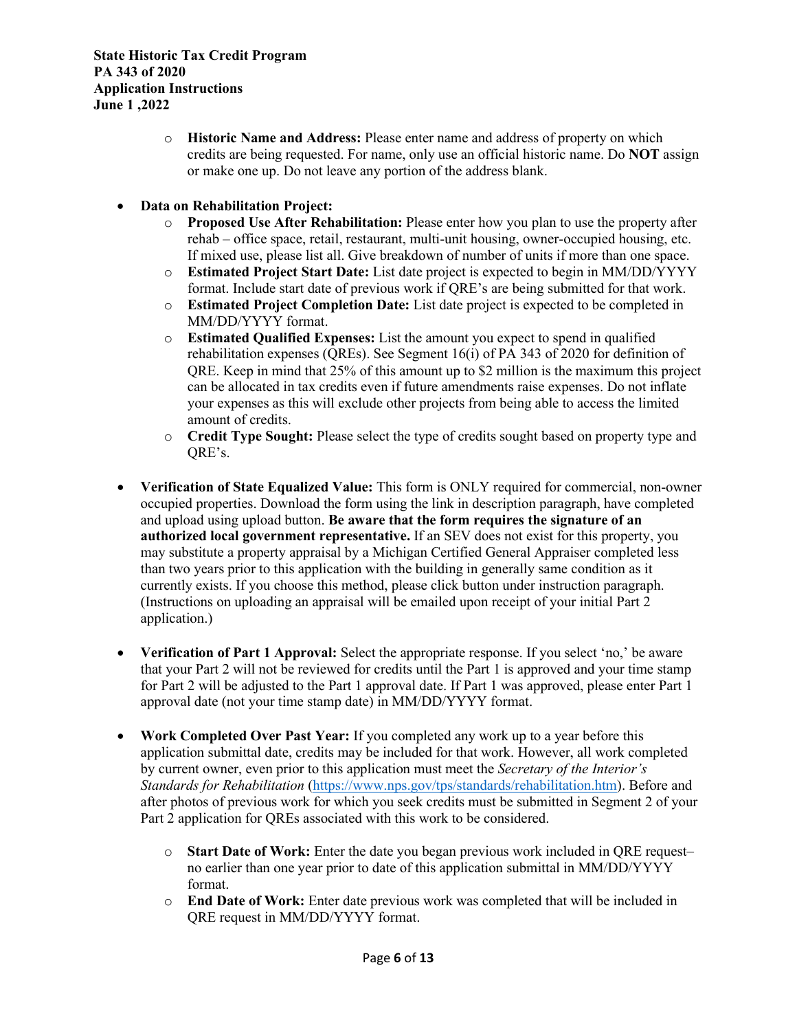- o **Historic Name and Address:** Please enter name and address of property on which credits are being requested. For name, only use an official historic name. Do **NOT** assign or make one up. Do not leave any portion of the address blank.
- **Data on Rehabilitation Project:**
	- o **Proposed Use After Rehabilitation:** Please enter how you plan to use the property after rehab – office space, retail, restaurant, multi-unit housing, owner-occupied housing, etc. If mixed use, please list all. Give breakdown of number of units if more than one space.
	- o **Estimated Project Start Date:** List date project is expected to begin in MM/DD/YYYY format. Include start date of previous work if QRE's are being submitted for that work.
	- o **Estimated Project Completion Date:** List date project is expected to be completed in MM/DD/YYYY format.
	- o **Estimated Qualified Expenses:** List the amount you expect to spend in qualified rehabilitation expenses (QREs). See Segment 16(i) of PA 343 of 2020 for definition of QRE. Keep in mind that 25% of this amount up to \$2 million is the maximum this project can be allocated in tax credits even if future amendments raise expenses. Do not inflate your expenses as this will exclude other projects from being able to access the limited amount of credits.
	- o **Credit Type Sought:** Please select the type of credits sought based on property type and QRE's.
- **Verification of State Equalized Value:** This form is ONLY required for commercial, non-owner occupied properties. Download the form using the link in description paragraph, have completed and upload using upload button. **Be aware that the form requires the signature of an authorized local government representative.** If an SEV does not exist for this property, you may substitute a property appraisal by a Michigan Certified General Appraiser completed less than two years prior to this application with the building in generally same condition as it currently exists. If you choose this method, please click button under instruction paragraph. (Instructions on uploading an appraisal will be emailed upon receipt of your initial Part 2 application.)
- **Verification of Part 1 Approval:** Select the appropriate response. If you select 'no,' be aware that your Part 2 will not be reviewed for credits until the Part 1 is approved and your time stamp for Part 2 will be adjusted to the Part 1 approval date. If Part 1 was approved, please enter Part 1 approval date (not your time stamp date) in MM/DD/YYYY format.
- **Work Completed Over Past Year:** If you completed any work up to a year before this application submittal date, credits may be included for that work. However, all work completed by current owner, even prior to this application must meet the *Secretary of the Interior's Standards for Rehabilitation* [\(https://www.nps.gov/tps/standards/rehabilitation.htm\)](https://www.nps.gov/tps/standards/rehabilitation.htm). Before and after photos of previous work for which you seek credits must be submitted in Segment 2 of your Part 2 application for OREs associated with this work to be considered.
	- o **Start Date of Work:** Enter the date you began previous work included in QRE request– no earlier than one year prior to date of this application submittal in MM/DD/YYYY format.
	- o **End Date of Work:** Enter date previous work was completed that will be included in QRE request in MM/DD/YYYY format.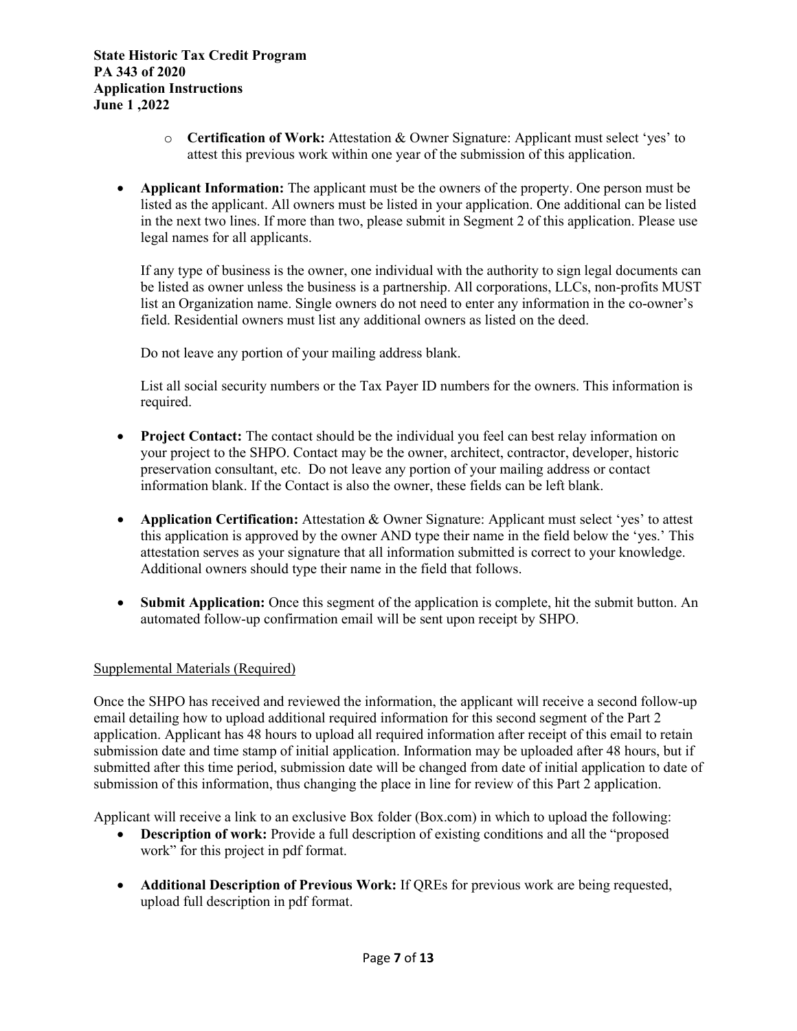- o **Certification of Work:** Attestation & Owner Signature: Applicant must select 'yes' to attest this previous work within one year of the submission of this application.
- **Applicant Information:** The applicant must be the owners of the property. One person must be listed as the applicant. All owners must be listed in your application. One additional can be listed in the next two lines. If more than two, please submit in Segment 2 of this application. Please use legal names for all applicants.

If any type of business is the owner, one individual with the authority to sign legal documents can be listed as owner unless the business is a partnership. All corporations, LLCs, non-profits MUST list an Organization name. Single owners do not need to enter any information in the co-owner's field. Residential owners must list any additional owners as listed on the deed.

Do not leave any portion of your mailing address blank.

List all social security numbers or the Tax Payer ID numbers for the owners. This information is required.

- **Project Contact:** The contact should be the individual you feel can best relay information on your project to the SHPO. Contact may be the owner, architect, contractor, developer, historic preservation consultant, etc. Do not leave any portion of your mailing address or contact information blank. If the Contact is also the owner, these fields can be left blank.
- **Application Certification:** Attestation & Owner Signature: Applicant must select 'yes' to attest this application is approved by the owner AND type their name in the field below the 'yes.' This attestation serves as your signature that all information submitted is correct to your knowledge. Additional owners should type their name in the field that follows.
- **Submit Application:** Once this segment of the application is complete, hit the submit button. An automated follow-up confirmation email will be sent upon receipt by SHPO.

#### Supplemental Materials (Required)

Once the SHPO has received and reviewed the information, the applicant will receive a second follow-up email detailing how to upload additional required information for this second segment of the Part 2 application. Applicant has 48 hours to upload all required information after receipt of this email to retain submission date and time stamp of initial application. Information may be uploaded after 48 hours, but if submitted after this time period, submission date will be changed from date of initial application to date of submission of this information, thus changing the place in line for review of this Part 2 application.

Applicant will receive a link to an exclusive Box folder (Box.com) in which to upload the following:

- **Description of work:** Provide a full description of existing conditions and all the "proposed" work" for this project in pdf format.
- **Additional Description of Previous Work:** If QREs for previous work are being requested, upload full description in pdf format.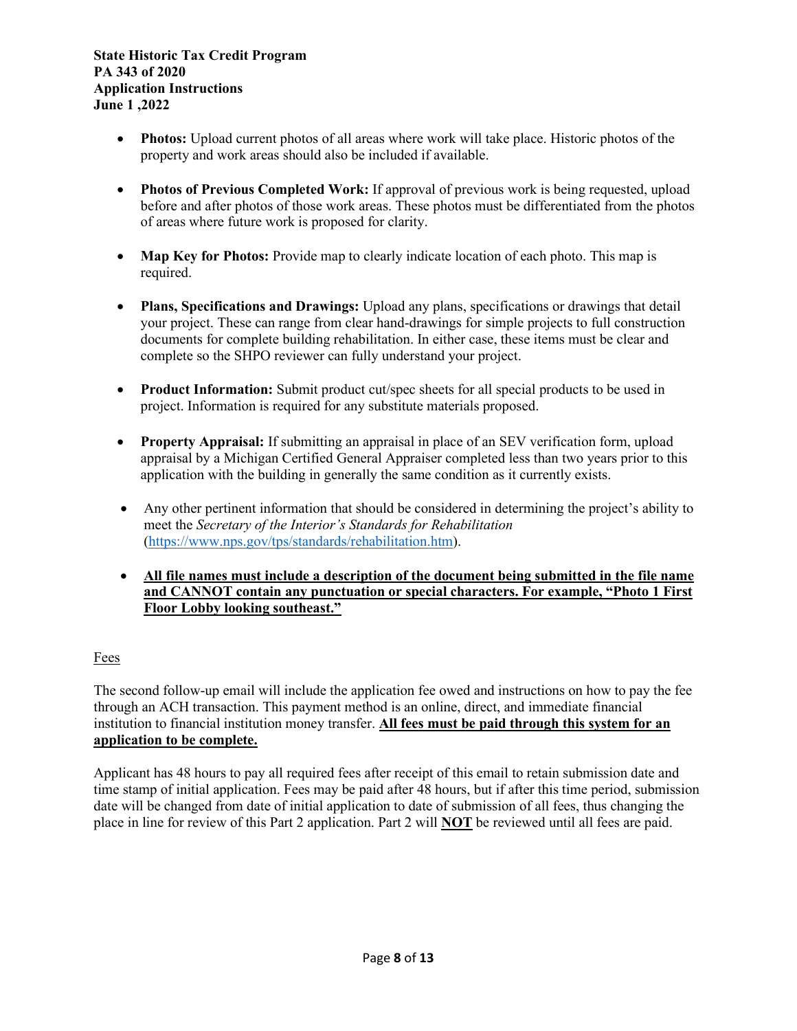- **Photos:** Upload current photos of all areas where work will take place. Historic photos of the property and work areas should also be included if available.
- **Photos of Previous Completed Work:** If approval of previous work is being requested, upload before and after photos of those work areas. These photos must be differentiated from the photos of areas where future work is proposed for clarity.
- **Map Key for Photos:** Provide map to clearly indicate location of each photo. This map is required.
- **Plans, Specifications and Drawings:** Upload any plans, specifications or drawings that detail your project. These can range from clear hand-drawings for simple projects to full construction documents for complete building rehabilitation. In either case, these items must be clear and complete so the SHPO reviewer can fully understand your project.
- **Product Information:** Submit product cut/spec sheets for all special products to be used in project. Information is required for any substitute materials proposed.
- **Property Appraisal:** If submitting an appraisal in place of an SEV verification form, upload appraisal by a Michigan Certified General Appraiser completed less than two years prior to this application with the building in generally the same condition as it currently exists.
- Any other pertinent information that should be considered in determining the project's ability to meet the *Secretary of the Interior's Standards for Rehabilitation*  [\(https://www.nps.gov/tps/standards/rehabilitation.htm\)](https://www.nps.gov/tps/standards/rehabilitation.htm).
- **All file names must include a description of the document being submitted in the file name and CANNOT contain any punctuation or special characters. For example, "Photo 1 First Floor Lobby looking southeast."**

## Fees

The second follow-up email will include the application fee owed and instructions on how to pay the fee through an ACH transaction. This payment method is an online, direct, and immediate financial institution to financial institution money transfer. **All fees must be paid through this system for an application to be complete.** 

Applicant has 48 hours to pay all required fees after receipt of this email to retain submission date and time stamp of initial application. Fees may be paid after 48 hours, but if after this time period, submission date will be changed from date of initial application to date of submission of all fees, thus changing the place in line for review of this Part 2 application. Part 2 will **NOT** be reviewed until all fees are paid.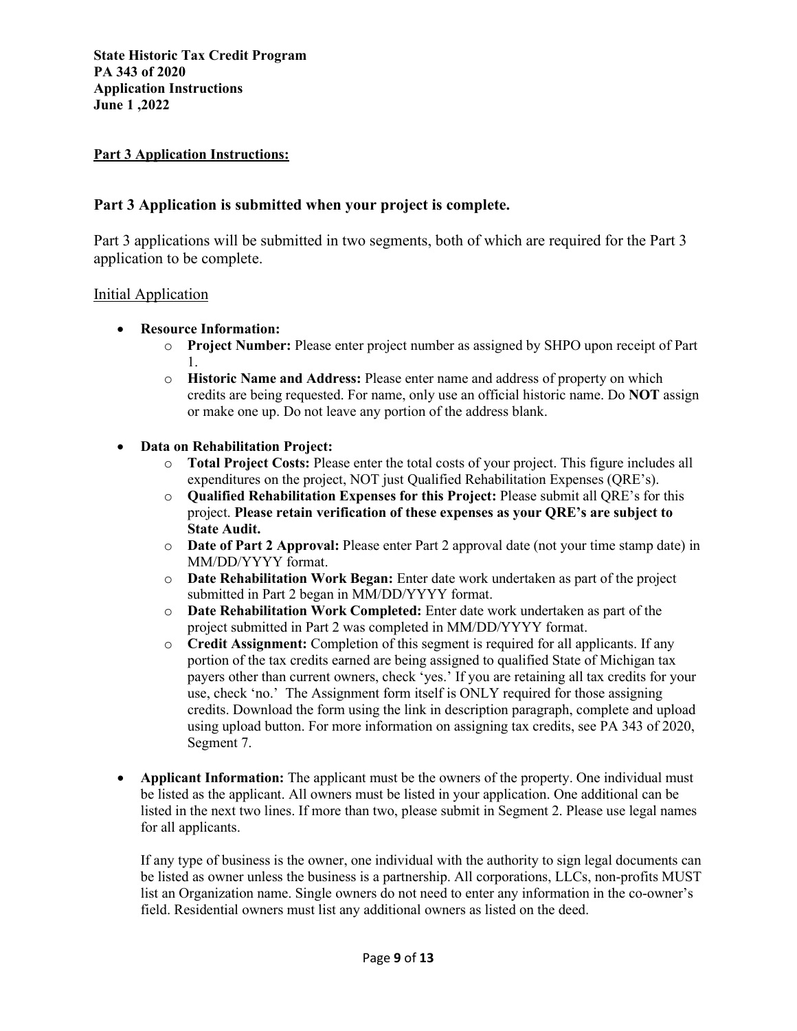### **Part 3 Application Instructions:**

## **Part 3 Application is submitted when your project is complete.**

Part 3 applications will be submitted in two segments, both of which are required for the Part 3 application to be complete.

#### Initial Application

- **Resource Information:** 
	- o **Project Number:** Please enter project number as assigned by SHPO upon receipt of Part 1.
	- o **Historic Name and Address:** Please enter name and address of property on which credits are being requested. For name, only use an official historic name. Do **NOT** assign or make one up. Do not leave any portion of the address blank.
- **Data on Rehabilitation Project:**
	- o **Total Project Costs:** Please enter the total costs of your project. This figure includes all expenditures on the project, NOT just Qualified Rehabilitation Expenses (QRE's).
	- o **Qualified Rehabilitation Expenses for this Project:** Please submit all QRE's for this project. **Please retain verification of these expenses as your QRE's are subject to State Audit.**
	- o **Date of Part 2 Approval:** Please enter Part 2 approval date (not your time stamp date) in MM/DD/YYYY format.
	- o **Date Rehabilitation Work Began:** Enter date work undertaken as part of the project submitted in Part 2 began in MM/DD/YYYY format.
	- o **Date Rehabilitation Work Completed:** Enter date work undertaken as part of the project submitted in Part 2 was completed in MM/DD/YYYY format.
	- o **Credit Assignment:** Completion of this segment is required for all applicants. If any portion of the tax credits earned are being assigned to qualified State of Michigan tax payers other than current owners, check 'yes.' If you are retaining all tax credits for your use, check 'no.' The Assignment form itself is ONLY required for those assigning credits. Download the form using the link in description paragraph, complete and upload using upload button. For more information on assigning tax credits, see PA 343 of 2020, Segment 7.
- **Applicant Information:** The applicant must be the owners of the property. One individual must be listed as the applicant. All owners must be listed in your application. One additional can be listed in the next two lines. If more than two, please submit in Segment 2. Please use legal names for all applicants.

If any type of business is the owner, one individual with the authority to sign legal documents can be listed as owner unless the business is a partnership. All corporations, LLCs, non-profits MUST list an Organization name. Single owners do not need to enter any information in the co-owner's field. Residential owners must list any additional owners as listed on the deed.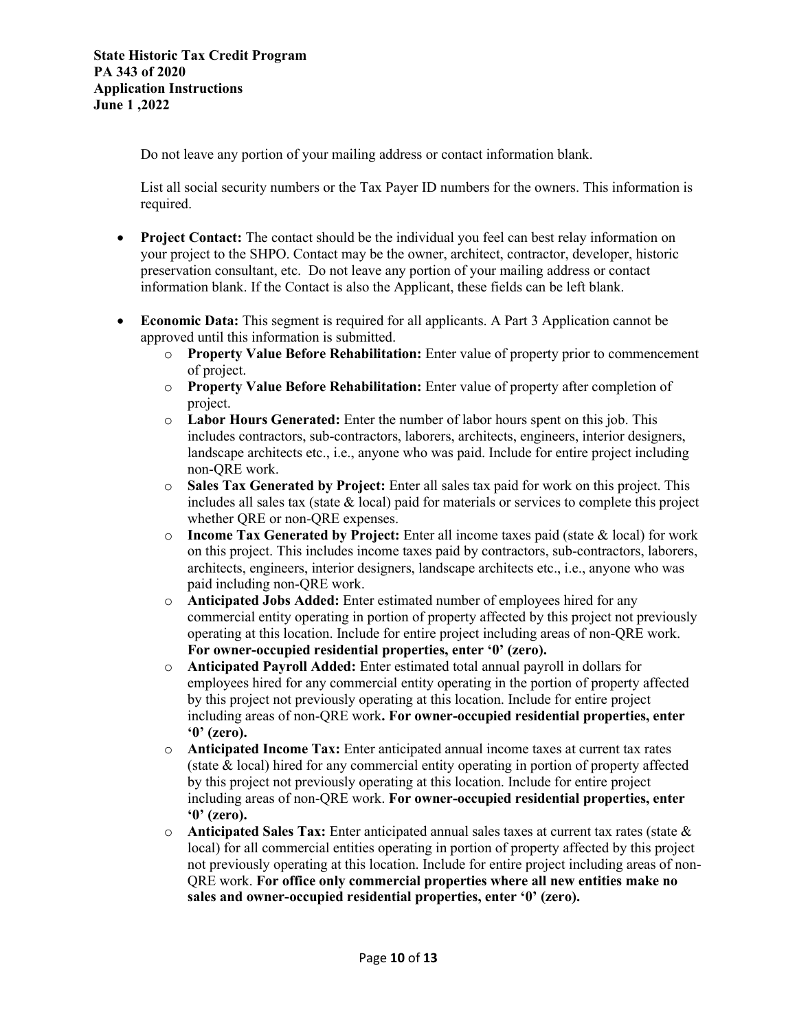Do not leave any portion of your mailing address or contact information blank.

List all social security numbers or the Tax Payer ID numbers for the owners. This information is required.

- **Project Contact:** The contact should be the individual you feel can best relay information on your project to the SHPO. Contact may be the owner, architect, contractor, developer, historic preservation consultant, etc. Do not leave any portion of your mailing address or contact information blank. If the Contact is also the Applicant, these fields can be left blank.
- **Economic Data:** This segment is required for all applicants. A Part 3 Application cannot be approved until this information is submitted.
	- o **Property Value Before Rehabilitation:** Enter value of property prior to commencement of project.
	- o **Property Value Before Rehabilitation:** Enter value of property after completion of project.
	- o **Labor Hours Generated:** Enter the number of labor hours spent on this job. This includes contractors, sub-contractors, laborers, architects, engineers, interior designers, landscape architects etc., i.e., anyone who was paid. Include for entire project including non-QRE work.
	- o **Sales Tax Generated by Project:** Enter all sales tax paid for work on this project. This includes all sales tax (state  $\&$  local) paid for materials or services to complete this project whether ORE or non-ORE expenses.
	- o **Income Tax Generated by Project:** Enter all income taxes paid (state & local) for work on this project. This includes income taxes paid by contractors, sub-contractors, laborers, architects, engineers, interior designers, landscape architects etc., i.e., anyone who was paid including non-QRE work.
	- o **Anticipated Jobs Added:** Enter estimated number of employees hired for any commercial entity operating in portion of property affected by this project not previously operating at this location. Include for entire project including areas of non-QRE work. **For owner-occupied residential properties, enter '0' (zero).**
	- o **Anticipated Payroll Added:** Enter estimated total annual payroll in dollars for employees hired for any commercial entity operating in the portion of property affected by this project not previously operating at this location. Include for entire project including areas of non-QRE work**. For owner-occupied residential properties, enter '0' (zero).**
	- o **Anticipated Income Tax:** Enter anticipated annual income taxes at current tax rates (state & local) hired for any commercial entity operating in portion of property affected by this project not previously operating at this location. Include for entire project including areas of non-QRE work. **For owner-occupied residential properties, enter '0' (zero).**
	- o **Anticipated Sales Tax:** Enter anticipated annual sales taxes at current tax rates (state & local) for all commercial entities operating in portion of property affected by this project not previously operating at this location. Include for entire project including areas of non-QRE work. **For office only commercial properties where all new entities make no sales and owner-occupied residential properties, enter '0' (zero).**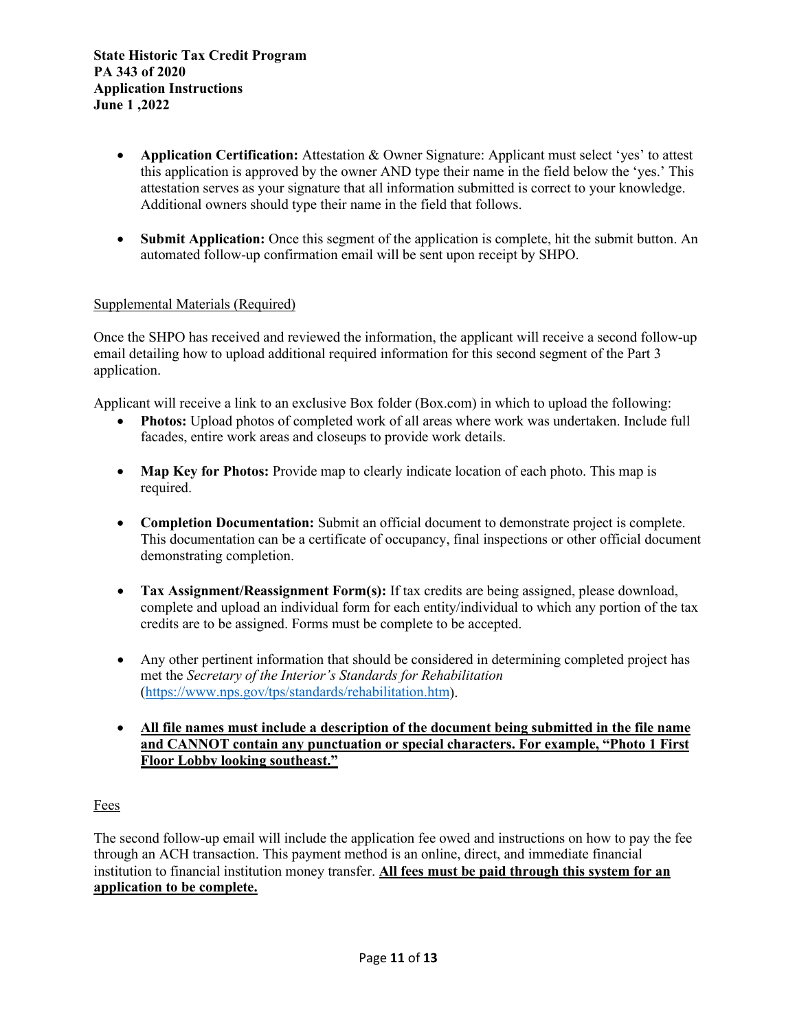- **Application Certification:** Attestation & Owner Signature: Applicant must select 'yes' to attest this application is approved by the owner AND type their name in the field below the 'yes.' This attestation serves as your signature that all information submitted is correct to your knowledge. Additional owners should type their name in the field that follows.
- **Submit Application:** Once this segment of the application is complete, hit the submit button. An automated follow-up confirmation email will be sent upon receipt by SHPO.

### Supplemental Materials (Required)

Once the SHPO has received and reviewed the information, the applicant will receive a second follow-up email detailing how to upload additional required information for this second segment of the Part 3 application.

Applicant will receive a link to an exclusive Box folder (Box.com) in which to upload the following:

- **Photos:** Upload photos of completed work of all areas where work was undertaken. Include full facades, entire work areas and closeups to provide work details.
- **Map Key for Photos:** Provide map to clearly indicate location of each photo. This map is required.
- **Completion Documentation:** Submit an official document to demonstrate project is complete. This documentation can be a certificate of occupancy, final inspections or other official document demonstrating completion.
- **Tax Assignment/Reassignment Form(s):** If tax credits are being assigned, please download, complete and upload an individual form for each entity/individual to which any portion of the tax credits are to be assigned. Forms must be complete to be accepted.
- Any other pertinent information that should be considered in determining completed project has met the *Secretary of the Interior's Standards for Rehabilitation* [\(https://www.nps.gov/tps/standards/rehabilitation.htm\)](https://www.nps.gov/tps/standards/rehabilitation.htm).
- **All file names must include a description of the document being submitted in the file name and CANNOT contain any punctuation or special characters. For example, "Photo 1 First Floor Lobby looking southeast."**

## Fees

The second follow-up email will include the application fee owed and instructions on how to pay the fee through an ACH transaction. This payment method is an online, direct, and immediate financial institution to financial institution money transfer. **All fees must be paid through this system for an application to be complete.**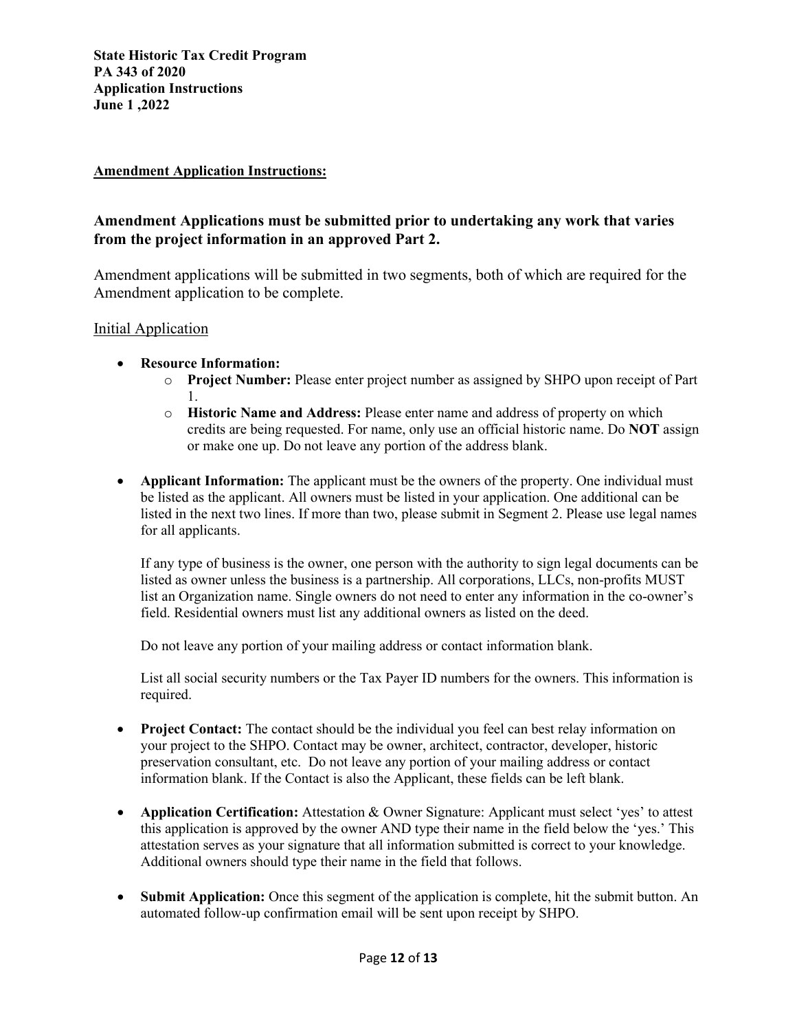### **Amendment Application Instructions:**

# **Amendment Applications must be submitted prior to undertaking any work that varies from the project information in an approved Part 2.**

Amendment applications will be submitted in two segments, both of which are required for the Amendment application to be complete.

### Initial Application

- **Resource Information:** 
	- o **Project Number:** Please enter project number as assigned by SHPO upon receipt of Part 1.
	- o **Historic Name and Address:** Please enter name and address of property on which credits are being requested. For name, only use an official historic name. Do **NOT** assign or make one up. Do not leave any portion of the address blank.
- **Applicant Information:** The applicant must be the owners of the property. One individual must be listed as the applicant. All owners must be listed in your application. One additional can be listed in the next two lines. If more than two, please submit in Segment 2. Please use legal names for all applicants.

If any type of business is the owner, one person with the authority to sign legal documents can be listed as owner unless the business is a partnership. All corporations, LLCs, non-profits MUST list an Organization name. Single owners do not need to enter any information in the co-owner's field. Residential owners must list any additional owners as listed on the deed.

Do not leave any portion of your mailing address or contact information blank.

List all social security numbers or the Tax Payer ID numbers for the owners. This information is required.

- **Project Contact:** The contact should be the individual you feel can best relay information on your project to the SHPO. Contact may be owner, architect, contractor, developer, historic preservation consultant, etc. Do not leave any portion of your mailing address or contact information blank. If the Contact is also the Applicant, these fields can be left blank.
- **Application Certification:** Attestation & Owner Signature: Applicant must select 'yes' to attest this application is approved by the owner AND type their name in the field below the 'yes.' This attestation serves as your signature that all information submitted is correct to your knowledge. Additional owners should type their name in the field that follows.
- **Submit Application:** Once this segment of the application is complete, hit the submit button. An automated follow-up confirmation email will be sent upon receipt by SHPO.